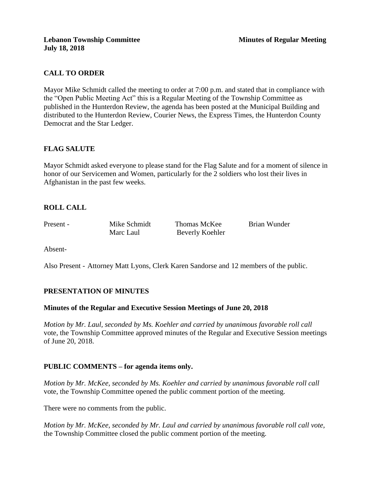# **CALL TO ORDER**

Mayor Mike Schmidt called the meeting to order at 7:00 p.m. and stated that in compliance with the "Open Public Meeting Act" this is a Regular Meeting of the Township Committee as published in the Hunterdon Review, the agenda has been posted at the Municipal Building and distributed to the Hunterdon Review, Courier News, the Express Times, the Hunterdon County Democrat and the Star Ledger.

# **FLAG SALUTE**

Mayor Schmidt asked everyone to please stand for the Flag Salute and for a moment of silence in honor of our Servicemen and Women, particularly for the 2 soldiers who lost their lives in Afghanistan in the past few weeks.

# **ROLL CALL**

Present - Mike Schmidt Thomas McKee Brian Wunder Marc Laul Beverly Koehler

Absent-

Also Present - Attorney Matt Lyons, Clerk Karen Sandorse and 12 members of the public.

# **PRESENTATION OF MINUTES**

### **Minutes of the Regular and Executive Session Meetings of June 20, 2018**

*Motion by Mr. Laul, seconded by Ms. Koehler and carried by unanimous favorable roll call*  vote, the Township Committee approved minutes of the Regular and Executive Session meetings of June 20, 2018.

# **PUBLIC COMMENTS – for agenda items only.**

*Motion by Mr. McKee, seconded by Ms. Koehler and carried by unanimous favorable roll call*  vote, the Township Committee opened the public comment portion of the meeting.

There were no comments from the public.

*Motion by Mr. McKee, seconded by Mr. Laul and carried by unanimous favorable roll call vote,* the Township Committee closed the public comment portion of the meeting.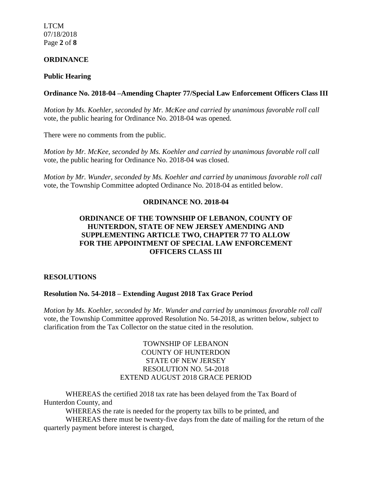LTCM 07/18/2018 Page **2** of **8**

### **ORDINANCE**

### **Public Hearing**

### **Ordinance No. 2018-04 –Amending Chapter 77/Special Law Enforcement Officers Class III**

*Motion by Ms. Koehler, seconded by Mr. McKee and carried by unanimous favorable roll call*  vote, the public hearing for Ordinance No. 2018-04 was opened.

There were no comments from the public*.*

*Motion by Mr. McKee, seconded by Ms. Koehler and carried by unanimous favorable roll call*  vote, the public hearing for Ordinance No. 2018-04 was closed.

*Motion by Mr. Wunder, seconded by Ms. Koehler and carried by unanimous favorable roll call*  vote, the Township Committee adopted Ordinance No. 2018-04 as entitled below.

## **ORDINANCE NO. 2018-04**

## **ORDINANCE OF THE TOWNSHIP OF LEBANON, COUNTY OF HUNTERDON, STATE OF NEW JERSEY AMENDING AND SUPPLEMENTING ARTICLE TWO, CHAPTER 77 TO ALLOW FOR THE APPOINTMENT OF SPECIAL LAW ENFORCEMENT OFFICERS CLASS III**

### **RESOLUTIONS**

### **Resolution No. 54-2018 – Extending August 2018 Tax Grace Period**

*Motion by Ms. Koehler, seconded by Mr. Wunder and carried by unanimous favorable roll call*  vote, the Township Committee approved Resolution No. 54-2018, as written below, subject to clarification from the Tax Collector on the statue cited in the resolution.

## TOWNSHIP OF LEBANON COUNTY OF HUNTERDON STATE OF NEW JERSEY RESOLUTION NO. 54-2018 EXTEND AUGUST 2018 GRACE PERIOD

WHEREAS the certified 2018 tax rate has been delayed from the Tax Board of Hunterdon County, and

WHEREAS the rate is needed for the property tax bills to be printed, and

WHEREAS there must be twenty-five days from the date of mailing for the return of the quarterly payment before interest is charged,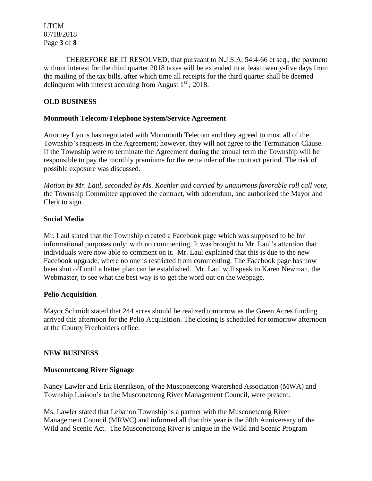THEREFORE BE IT RESOLVED, that pursuant to N.J.S.A. 54:4-66 et seq., the payment without interest for the third quarter 2018 taxes will be extended to at least twenty-five days from the mailing of the tax bills, after which time all receipts for the third quarter shall be deemed delinquent with interest accruing from August  $1<sup>st</sup>$ , 2018.

# **OLD BUSINESS**

## **Monmouth Telecom/Telephone System/Service Agreement**

Attorney Lyons has negotiated with Monmouth Telecom and they agreed to most all of the Township's requests in the Agreement; however, they will not agree to the Termination Clause. If the Township were to terminate the Agreement during the annual term the Township will be responsible to pay the monthly premiums for the remainder of the contract period. The risk of possible exposure was discussed.

*Motion by Mr. Laul, seconded by Ms. Koehler and carried by unanimous favorable roll call vote,*  the Township Committee approved the contract, with addendum, and authorized the Mayor and Clerk to sign.

## **Social Media**

Mr. Laul stated that the Township created a Facebook page which was supposed to be for informational purposes only; with no commenting. It was brought to Mr. Laul's attention that individuals were now able to comment on it. Mr. Laul explained that this is due to the new Facebook upgrade, where no one is restricted from commenting. The Facebook page has now been shut off until a better plan can be established. Mr. Laul will speak to Karen Newman, the Webmaster, to see what the best way is to get the word out on the webpage.

### **Pelio Acquisition**

Mayor Schmidt stated that 244 acres should be realized tomorrow as the Green Acres funding arrived this afternoon for the Pelio Acquisition. The closing is scheduled for tomorrow afternoon at the County Freeholders office.

### **NEW BUSINESS**

# **Musconetcong River Signage**

Nancy Lawler and Erik Henrikson, of the Musconetcong Watershed Association (MWA) and Township Liaison's to the Musconetcong River Management Council, were present.

Ms. Lawler stated that Lebanon Township is a partner with the Musconetcong River Management Council (MRWC) and informed all that this year is the 50th Anniversary of the Wild and Scenic Act. The Musconetcong River is unique in the Wild and Scenic Program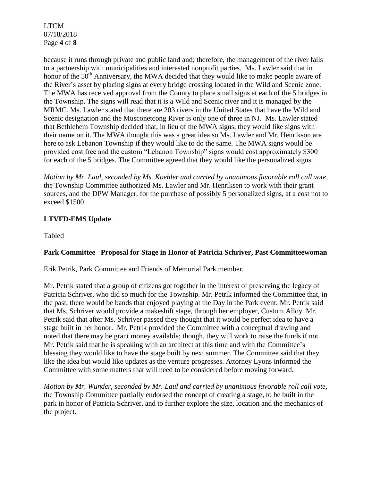LTCM 07/18/2018 Page **4** of **8**

because it runs through private and public land and; therefore, the management of the river falls to a partnership with municipalities and interested nonprofit parties. Ms. Lawler said that in honor of the  $50<sup>th</sup>$  Anniversary, the MWA decided that they would like to make people aware of the River's asset by placing signs at every bridge crossing located in the Wild and Scenic zone. The MWA has received approval from the County to place small signs at each of the 5 bridges in the Township. The signs will read that it is a Wild and Scenic river and it is managed by the MRMC. Ms. Lawler stated that there are 203 rivers in the United States that have the Wild and Scenic designation and the Musconetcong River is only one of three in NJ. Ms. Lawler stated that Bethlehem Township decided that, in lieu of the MWA signs, they would like signs with their name on it. The MWA thought this was a great idea so Ms. Lawler and Mr. Henrikson are here to ask Lebanon Township if they would like to do the same. The MWA signs would be provided cost free and the custom "Lebanon Township" signs would cost approximately \$300 for each of the 5 bridges. The Committee agreed that they would like the personalized signs.

*Motion by Mr. Laul, seconded by Ms. Koehler and carried by unanimous favorable roll call vote,*  the Township Committee authorized Ms. Lawler and Mr. Henriksen to work with their grant sources, and the DPW Manager, for the purchase of possibly 5 personalized signs, at a cost not to exceed \$1500.

# **LTVFD-EMS Update**

Tabled

# **Park Committee– Proposal for Stage in Honor of Patricia Schriver, Past Committeewoman**

Erik Petrik, Park Committee and Friends of Memorial Park member.

Mr. Petrik stated that a group of citizens got together in the interest of preserving the legacy of Patricia Schriver, who did so much for the Township. Mr. Petrik informed the Committee that, in the past, there would be bands that enjoyed playing at the Day in the Park event. Mr. Petrik said that Ms. Schriver would provide a makeshift stage, through her employer, Custom Alloy. Mr. Petrik said that after Ms. Schriver passed they thought that it would be perfect idea to have a stage built in her honor. Mr. Petrik provided the Committee with a conceptual drawing and noted that there may be grant money available; though, they will work to raise the funds if not. Mr. Petrik said that he is speaking with an architect at this time and with the Committee's blessing they would like to have the stage built by next summer. The Committee said that they like the idea but would like updates as the venture progresses. Attorney Lyons informed the Committee with some matters that will need to be considered before moving forward.

*Motion by Mr. Wunder, seconded by Mr. Laul and carried by unanimous favorable roll call vote,*  the Township Committee partially endorsed the concept of creating a stage, to be built in the park in honor of Patricia Schriver, and to further explore the size, location and the mechanics of the project.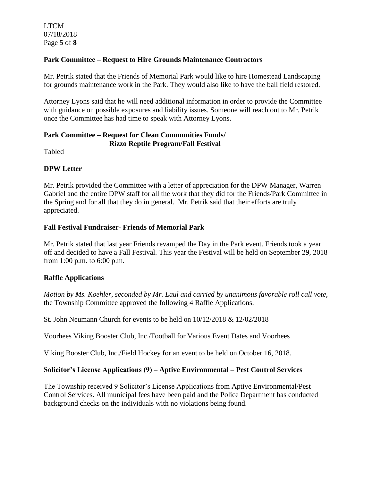# **Park Committee – Request to Hire Grounds Maintenance Contractors**

Mr. Petrik stated that the Friends of Memorial Park would like to hire Homestead Landscaping for grounds maintenance work in the Park. They would also like to have the ball field restored.

Attorney Lyons said that he will need additional information in order to provide the Committee with guidance on possible exposures and liability issues. Someone will reach out to Mr. Petrik once the Committee has had time to speak with Attorney Lyons.

## **Park Committee – Request for Clean Communities Funds/ Rizzo Reptile Program/Fall Festival**

Tabled

# **DPW Letter**

Mr. Petrik provided the Committee with a letter of appreciation for the DPW Manager, Warren Gabriel and the entire DPW staff for all the work that they did for the Friends/Park Committee in the Spring and for all that they do in general. Mr. Petrik said that their efforts are truly appreciated.

# **Fall Festival Fundraiser- Friends of Memorial Park**

Mr. Petrik stated that last year Friends revamped the Day in the Park event. Friends took a year off and decided to have a Fall Festival. This year the Festival will be held on September 29, 2018 from 1:00 p.m. to 6:00 p.m.

# **Raffle Applications**

*Motion by Ms. Koehler, seconded by Mr. Laul and carried by unanimous favorable roll call vote,*  the Township Committee approved the following 4 Raffle Applications.

St. John Neumann Church for events to be held on 10/12/2018 & 12/02/2018

Voorhees Viking Booster Club, Inc./Football for Various Event Dates and Voorhees

Viking Booster Club, Inc./Field Hockey for an event to be held on October 16, 2018.

# **Solicitor's License Applications (9) – Aptive Environmental – Pest Control Services**

The Township received 9 Solicitor's License Applications from Aptive Environmental/Pest Control Services. All municipal fees have been paid and the Police Department has conducted background checks on the individuals with no violations being found.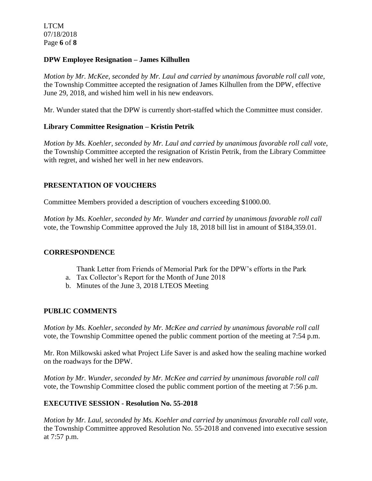LTCM 07/18/2018 Page **6** of **8**

### **DPW Employee Resignation – James Kilhullen**

*Motion by Mr. McKee, seconded by Mr. Laul and carried by unanimous favorable roll call vote,*  the Township Committee accepted the resignation of James Kilhullen from the DPW, effective June 29, 2018, and wished him well in his new endeavors.

Mr. Wunder stated that the DPW is currently short-staffed which the Committee must consider.

# **Library Committee Resignation – Kristin Petrik**

*Motion by Ms. Koehler, seconded by Mr. Laul and carried by unanimous favorable roll call vote,*  the Township Committee accepted the resignation of Kristin Petrik, from the Library Committee with regret, and wished her well in her new endeavors.

# **PRESENTATION OF VOUCHERS**

Committee Members provided a description of vouchers exceeding \$1000.00.

*Motion by Ms. Koehler, seconded by Mr. Wunder and carried by unanimous favorable roll call*  vote, the Township Committee approved the July 18, 2018 bill list in amount of \$184,359.01.

### **CORRESPONDENCE**

- Thank Letter from Friends of Memorial Park for the DPW's efforts in the Park
- a. Tax Collector's Report for the Month of June 2018
- b. Minutes of the June 3, 2018 LTEOS Meeting

# **PUBLIC COMMENTS**

*Motion by Ms. Koehler, seconded by Mr. McKee and carried by unanimous favorable roll call*  vote, the Township Committee opened the public comment portion of the meeting at 7:54 p.m.

Mr. Ron Milkowski asked what Project Life Saver is and asked how the sealing machine worked on the roadways for the DPW.

*Motion by Mr. Wunder, seconded by Mr. McKee and carried by unanimous favorable roll call*  vote*,* the Township Committee closed the public comment portion of the meeting at 7:56 p.m.

# **EXECUTIVE SESSION - Resolution No. 55-2018**

*Motion by Mr. Laul, seconded by Ms. Koehler and carried by unanimous favorable roll call vote,* the Township Committee approved Resolution No. 55-2018 and convened into executive session at 7:57 p.m.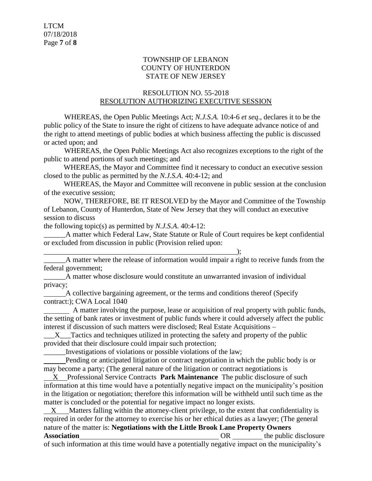## TOWNSHIP OF LEBANON COUNTY OF HUNTERDON STATE OF NEW JERSEY

## RESOLUTION NO. 55-2018 RESOLUTION AUTHORIZING EXECUTIVE SESSION

WHEREAS, the Open Public Meetings Act; *N.J.S.A.* 10:4-6 *et seq*., declares it to be the public policy of the State to insure the right of citizens to have adequate advance notice of and the right to attend meetings of public bodies at which business affecting the public is discussed or acted upon; and

WHEREAS, the Open Public Meetings Act also recognizes exceptions to the right of the public to attend portions of such meetings; and

 WHEREAS, the Mayor and Committee find it necessary to conduct an executive session closed to the public as permitted by the *N.J.S.A*. 40:4-12; and

 WHEREAS, the Mayor and Committee will reconvene in public session at the conclusion of the executive session;

 NOW, THEREFORE, BE IT RESOLVED by the Mayor and Committee of the Township of Lebanon, County of Hunterdon, State of New Jersey that they will conduct an executive session to discuss

the following topic(s) as permitted by *N.J.S.A*. 40:4-12:

A matter which Federal Law, State Statute or Rule of Court requires be kept confidential or excluded from discussion in public (Provision relied upon:

\_\_\_\_\_\_\_\_\_\_\_\_\_\_\_\_\_\_\_\_\_\_\_\_\_\_\_\_\_\_\_\_\_\_\_\_\_\_\_\_\_\_\_\_\_\_\_\_\_\_\_\_\_); A matter where the release of information would impair a right to receive funds from the federal government;

\_\_\_\_\_\_A matter whose disclosure would constitute an unwarranted invasion of individual privacy;

 A collective bargaining agreement, or the terms and conditions thereof (Specify contract:); CWA Local 1040

 A matter involving the purpose, lease or acquisition of real property with public funds, the setting of bank rates or investment of public funds where it could adversely affect the public interest if discussion of such matters were disclosed; Real Estate Acquisitions –

X Tactics and techniques utilized in protecting the safety and property of the public provided that their disclosure could impair such protection;

\_\_\_\_\_\_Investigations of violations or possible violations of the law;

 Pending or anticipated litigation or contract negotiation in which the public body is or may become a party; (The general nature of the litigation or contract negotiations is

 X Professional Service Contracts **Park Maintenance** The public disclosure of such information at this time would have a potentially negative impact on the municipality's position in the litigation or negotiation; therefore this information will be withheld until such time as the matter is concluded or the potential for negative impact no longer exists.

 $X$  Matters falling within the attorney-client privilege, to the extent that confidentiality is required in order for the attorney to exercise his or her ethical duties as a lawyer; (The general nature of the matter is: **Negotiations with the Little Brook Lane Property Owners Association CON** the public disclosure **OR** the public disclosure

of such information at this time would have a potentially negative impact on the municipality's